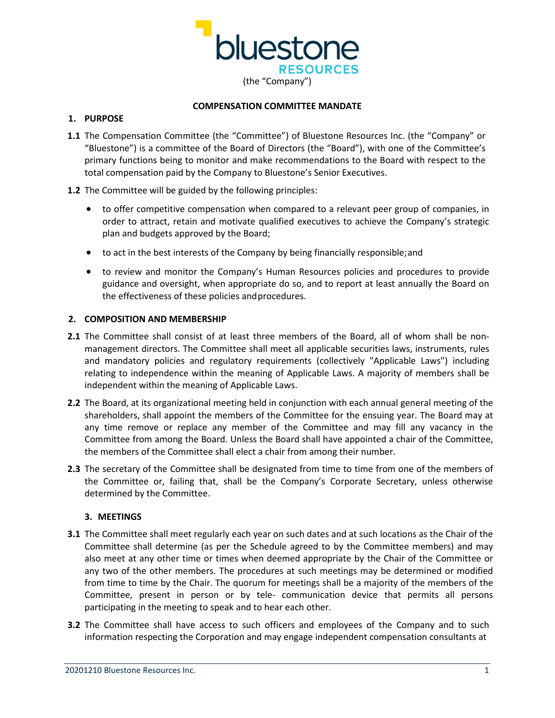

#### **COMPENSATION COMMITTEE MANDATE**

#### **1. PURPOSE**

- **1.1** The Compensation Committee (the "Committee") of Bluestone Resources Inc. (the "Company" or "Bluestone") is a committee of the Board of Directors (the "Board"), with one of the Committee's primary functions being to monitor and make recommendations to the Board with respect to the total compensation paid by the Company to Bluestone's Senior Executives.
- **1.2** The Committee will be guided by the following principles:
	- to offer competitive compensation when compared to a relevant peer group of companies, in order to attract, retain and motivate qualified executives to achieve the Company's strategic plan and budgets approved by the Board;
	- to act in the best interests of the Company by being financially responsible;and
	- to review and monitor the Company's Human Resources policies and procedures to provide guidance and oversight, when appropriate do so, and to report at least annually the Board on the effectiveness of these policies andprocedures.

### **2. COMPOSITION AND MEMBERSHIP**

- **2.1** The Committee shall consist of at least three members of the Board, all of whom shall be nonmanagement directors. The Committee shall meet all applicable securities laws, instruments, rules and mandatory policies and regulatory requirements (collectively "Applicable Laws") including relating to independence within the meaning of Applicable Laws. A majority of members shall be independent within the meaning of Applicable Laws.
- **2.2** The Board, at its organizational meeting held in conjunction with each annual general meeting of the shareholders, shall appoint the members of the Committee for the ensuing year. The Board may at any time remove or replace any member of the Committee and may fill any vacancy in the Committee from among the Board. Unless the Board shall have appointed a chair of the Committee, the members of the Committee shall elect a chair from among their number.
- **2.3** The secretary of the Committee shall be designated from time to time from one of the members of the Committee or, failing that, shall be the Company's Corporate Secretary, unless otherwise determined by the Committee.

### **3. MEETINGS**

- **3.1** The Committee shall meet regularly each year on such dates and at such locations as the Chair of the Committee shall determine (as per the Schedule agreed to by the Committee members) and may also meet at any other time or times when deemed appropriate by the Chair of the Committee or any two of the other members. The procedures at such meetings may be determined or modified from time to time by the Chair. The quorum for meetings shall be a majority of the members of the Committee, present in person or by tele- communication device that permits all persons participating in the meeting to speak and to hear each other.
- **3.2** The Committee shall have access to such officers and employees of the Company and to such information respecting the Corporation and may engage independent compensation consultants at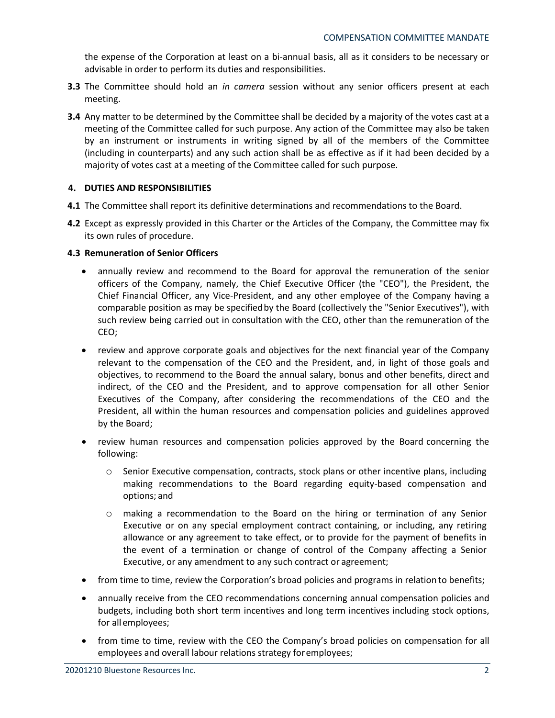the expense of the Corporation at least on a bi-annual basis, all as it considers to be necessary or advisable in order to perform its duties and responsibilities.

- **3.3** The Committee should hold an *in camera* session without any senior officers present at each meeting.
- **3.4** Any matter to be determined by the Committee shall be decided by a majority of the votes cast at a meeting of the Committee called for such purpose. Any action of the Committee may also be taken by an instrument or instruments in writing signed by all of the members of the Committee (including in counterparts) and any such action shall be as effective as if it had been decided by a majority of votes cast at a meeting of the Committee called for such purpose.

# **4. DUTIES AND RESPONSIBILITIES**

- **4.1** The Committee shall report its definitive determinations and recommendations to the Board.
- **4.2** Except as expressly provided in this Charter or the Articles of the Company, the Committee may fix its own rules of procedure.

### **4.3 Remuneration of Senior Officers**

- annually review and recommend to the Board for approval the remuneration of the senior officers of the Company, namely, the Chief Executive Officer (the "CEO"), the President, the Chief Financial Officer, any Vice-President, and any other employee of the Company having a comparable position as may be specifiedby the Board (collectively the "Senior Executives"), with such review being carried out in consultation with the CEO, other than the remuneration of the CEO;
- review and approve corporate goals and objectives for the next financial year of the Company relevant to the compensation of the CEO and the President, and, in light of those goals and objectives, to recommend to the Board the annual salary, bonus and other benefits, direct and indirect, of the CEO and the President, and to approve compensation for all other Senior Executives of the Company, after considering the recommendations of the CEO and the President, all within the human resources and compensation policies and guidelines approved by the Board;
- review human resources and compensation policies approved by the Board concerning the following:
	- o Senior Executive compensation, contracts, stock plans or other incentive plans, including making recommendations to the Board regarding equity-based compensation and options; and
	- o making a recommendation to the Board on the hiring or termination of any Senior Executive or on any special employment contract containing, or including, any retiring allowance or any agreement to take effect, or to provide for the payment of benefits in the event of a termination or change of control of the Company affecting a Senior Executive, or any amendment to any such contract or agreement;
- from time to time, review the Corporation's broad policies and programs in relation to benefits;
- annually receive from the CEO recommendations concerning annual compensation policies and budgets, including both short term incentives and long term incentives including stock options, for all employees;
- from time to time, review with the CEO the Company's broad policies on compensation for all employees and overall labour relations strategy foremployees;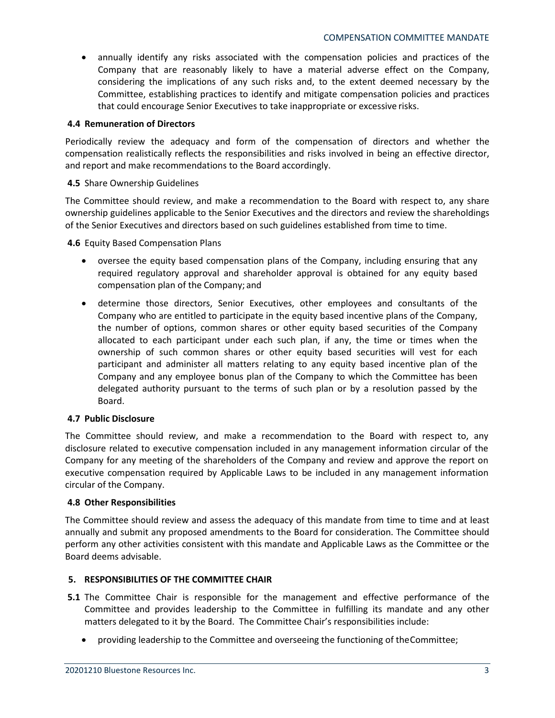• annually identify any risks associated with the compensation policies and practices of the Company that are reasonably likely to have a material adverse effect on the Company, considering the implications of any such risks and, to the extent deemed necessary by the Committee, establishing practices to identify and mitigate compensation policies and practices that could encourage Senior Executives to take inappropriate or excessive risks.

# **4.4 Remuneration of Directors**

Periodically review the adequacy and form of the compensation of directors and whether the compensation realistically reflects the responsibilities and risks involved in being an effective director, and report and make recommendations to the Board accordingly.

### **4.5** Share Ownership Guidelines

The Committee should review, and make a recommendation to the Board with respect to, any share ownership guidelines applicable to the Senior Executives and the directors and review the shareholdings of the Senior Executives and directors based on such guidelines established from time to time.

**4.6** Equity Based Compensation Plans

- oversee the equity based compensation plans of the Company, including ensuring that any required regulatory approval and shareholder approval is obtained for any equity based compensation plan of the Company; and
- determine those directors, Senior Executives, other employees and consultants of the Company who are entitled to participate in the equity based incentive plans of the Company, the number of options, common shares or other equity based securities of the Company allocated to each participant under each such plan, if any, the time or times when the ownership of such common shares or other equity based securities will vest for each participant and administer all matters relating to any equity based incentive plan of the Company and any employee bonus plan of the Company to which the Committee has been delegated authority pursuant to the terms of such plan or by a resolution passed by the Board.

### **4.7 Public Disclosure**

The Committee should review, and make a recommendation to the Board with respect to, any disclosure related to executive compensation included in any management information circular of the Company for any meeting of the shareholders of the Company and review and approve the report on executive compensation required by Applicable Laws to be included in any management information circular of the Company.

### **4.8 Other Responsibilities**

The Committee should review and assess the adequacy of this mandate from time to time and at least annually and submit any proposed amendments to the Board for consideration. The Committee should perform any other activities consistent with this mandate and Applicable Laws as the Committee or the Board deems advisable.

### **5. RESPONSIBILITIES OF THE COMMITTEE CHAIR**

- **5.1** The Committee Chair is responsible for the management and effective performance of the Committee and provides leadership to the Committee in fulfilling its mandate and any other matters delegated to it by the Board. The Committee Chair's responsibilities include:
	- providing leadership to the Committee and overseeing the functioning of theCommittee;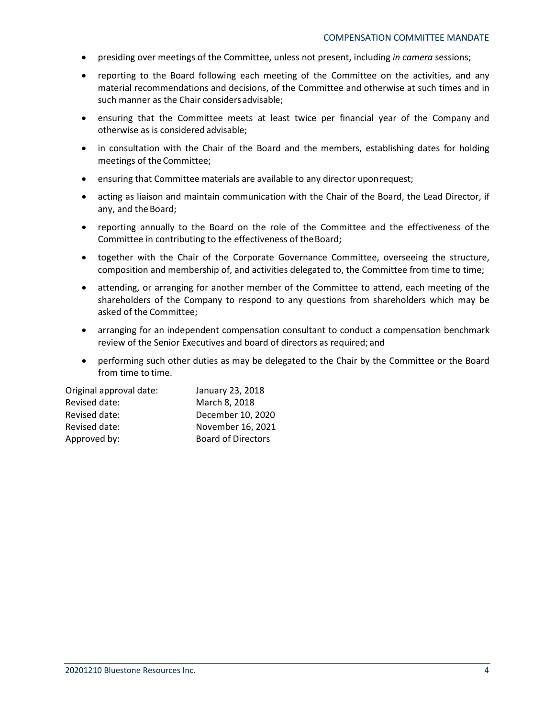- presiding over meetings of the Committee, unless not present, including *in camera* sessions;
- reporting to the Board following each meeting of the Committee on the activities, and any material recommendations and decisions, of the Committee and otherwise at such times and in such manner as the Chair considersadvisable;
- ensuring that the Committee meets at least twice per financial year of the Company and otherwise as is considered advisable;
- in consultation with the Chair of the Board and the members, establishing dates for holding meetings of the Committee;
- ensuring that Committee materials are available to any director uponrequest;
- acting as liaison and maintain communication with the Chair of the Board, the Lead Director, if any, and the Board;
- reporting annually to the Board on the role of the Committee and the effectiveness of the Committee in contributing to the effectiveness of theBoard;
- together with the Chair of the Corporate Governance Committee, overseeing the structure, composition and membership of, and activities delegated to, the Committee from time to time;
- attending, or arranging for another member of the Committee to attend, each meeting of the shareholders of the Company to respond to any questions from shareholders which may be asked of the Committee;
- arranging for an independent compensation consultant to conduct a compensation benchmark review of the Senior Executives and board of directors as required; and
- performing such other duties as may be delegated to the Chair by the Committee or the Board from time to time.

| Original approval date: | January 23, 2018          |  |  |
|-------------------------|---------------------------|--|--|
| Revised date:           | March 8, 2018             |  |  |
| Revised date:           | December 10, 2020         |  |  |
| Revised date:           | November 16, 2021         |  |  |
| Approved by:            | <b>Board of Directors</b> |  |  |